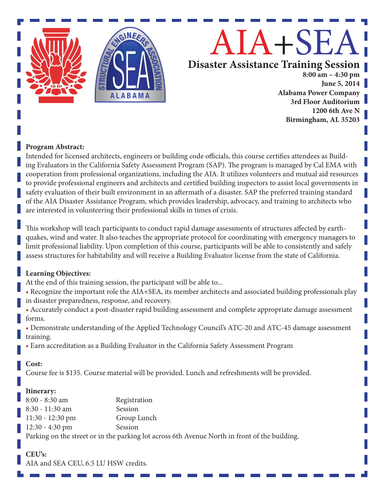

#### **Program Abstract:**

Intended for licensed architects, engineers or building code officials, this course certifies attendees as Building Evaluators in the California Safety Assessment Program (SAP). The program is managed by Cal EMA with cooperation from professional organizations, including the AIA. It utilizes volunteers and mutual aid resources to provide professional engineers and architects and certified building inspectors to assist local governments in safety evaluation of their built environment in an aftermath of a disaster. SAP the preferred training standard of the AIA Disaster Assistance Program, which provides leadership, advocacy, and training to architects who are interested in volunteering their professional skills in times of crisis.

This workshop will teach participants to conduct rapid damage assessments of structures affected by earthquakes, wind and water. It also teaches the appropriate protocol for coordinating with emergency managers to limit professional liability. Upon completion of this course, participants will be able to consistently and safely assess structures for habitability and will receive a Building Evaluator license from the state of California.

#### **Learning Objectives:**

At the end of this training session, the participant will be able to...

• Recognize the important role the AIA+SEA, its member architects and associated building professionals play in disaster preparedness, response, and recovery.

• Accurately conduct a post-disaster rapid building assessment and complete appropriate damage assessment forms.

• Demonstrate understanding of the Applied Technology Council's ATC-20 and ATC-45 damage assessment training.

• Earn accreditation as a Building Evaluator in the California Safety Assessment Program

#### **Cost:**

Course fee is \$135. Course material will be provided. Lunch and refreshments will be provided.

#### **Itinerary:**

8:00 - 8:30 am Registration 8:30 - 11:30 am Session 11:30 - 12:30 pm Group Lunch 12:30 - 4:30 pm Session Parking on the street or in the parking lot across 6th Avenue North in front of the building.

# **CEU's:**

AIA and SEA CEU, 6.5 LU HSW credits.